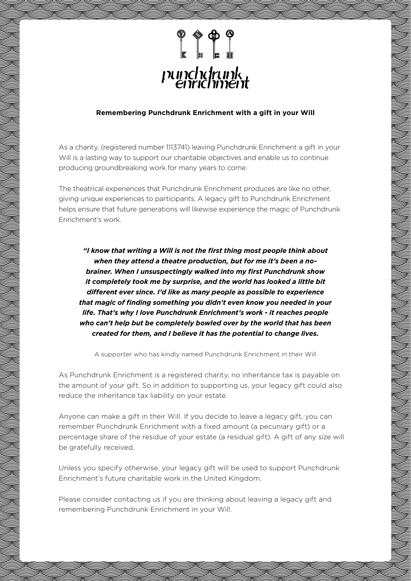

#### **Remembering Punchdrunk Enrichment with a gift in your Will**

As a charity, (registered number 1113741) leaving Punchdrunk Enrichment a gift in your Will is a lasting way to support our charitable objectives and enable us to continue producing groundbreaking work for many years to come.

The theatrical experiences that Punchdrunk Enrichment produces are like no other, giving unique experiences to participants. A legacy gift to Punchdrunk Enrichment helps ensure that future generations will likewise experience the magic of Punchdrunk Enrichment's work.

*"I know that writing a Will is not the first thing most people think about when they attend a theatre production, but for me it's been a nobrainer. When I unsuspectingly walked into my first Punchdrunk show it completely took me by surprise, and the world has looked a little bit different ever since. I'd like as many people as possible to experience that magic of finding something you didn't even know you needed in your life. That's why I love Punchdrunk Enrichment's work - it reaches people who can't help but be completely bowled over by the world that has been created for them, and I believe it has the potential to change lives.*

A supporter who has kindly named Punchdrunk Enrichment in their Will

As Punchdrunk Enrichment is a registered charity, no inheritance tax is payable on the amount of your gift. So in addition to supporting us, your legacy gift could also reduce the inheritance tax liability on your estate.

Anyone can make a gift in their Will. If you decide to leave a legacy gift, you can remember Punchdrunk Enrichment with a fixed amount (a pecuniary gift) or a percentage share of the residue of your estate (a residual gift). A gift of any size will be gratefully received.

Unless you specify otherwise, your legacy gift will be used to support Punchdrunk Enrichment's future charitable work in the United Kingdom.

Please consider contacting us if you are thinking about leaving a legacy gift and remembering Punchdrunk Enrichment in your Will.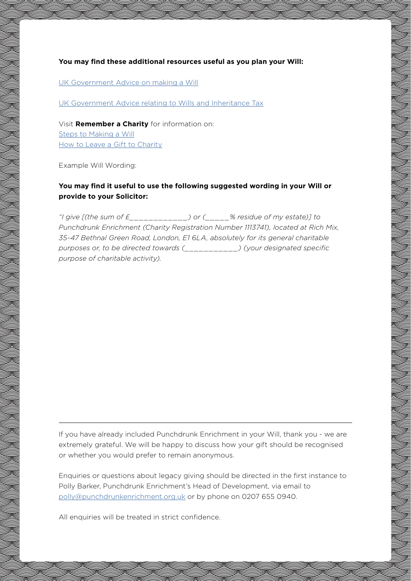**You may find these additional resources useful as you plan your Will:**

[UK Government Advice on making a Will](https://www.gov.uk/make-will)

[UK Government Advice relating to Wills and Inheritance Tax](https://www.gov.uk/topic/personal-tax/inheritance-tax)

Visit **Remember a Charity** for information on: [Steps to Making a Will](https://www.rememberacharity.org.uk/making-a-will/steps-to-making-a-will/) [How to Leave a Gift to Charity](https://www.rememberacharity.org.uk/making-a-will/leave-a-gift-to-charity/)

Example Will Wording:

## **You may find it useful to use the following suggested wording in your Will or provide to your Solicitor:**

*"I give [(the sum of £\_\_\_\_\_\_\_\_\_\_\_\_) or (\_\_\_\_\_% residue of my estate)] to Punchdrunk Enrichment (Charity Registration Number 1113741), located at Rich Mix, 35-47 Bethnal Green Road, London, E1 6LA, absolutely for its general charitable purposes or, to be directed towards (\_\_\_\_\_\_\_\_\_\_\_) (your designated specific purpose of charitable activity).*

If you have already included Punchdrunk Enrichment in your Will, thank you - we are extremely grateful. We will be happy to discuss how your gift should be recognised or whether you would prefer to remain anonymous.

Enquiries or questions about legacy giving should be directed in the first instance to Polly Barker, Punchdrunk Enrichment's Head of Development, via email to [polly@punchdrunkenrichment.org.uk](mailto:polly%40punchdrunkenrichment.org.uk?subject=) or by phone on 0207 655 0940.

All enquiries will be treated in strict confidence.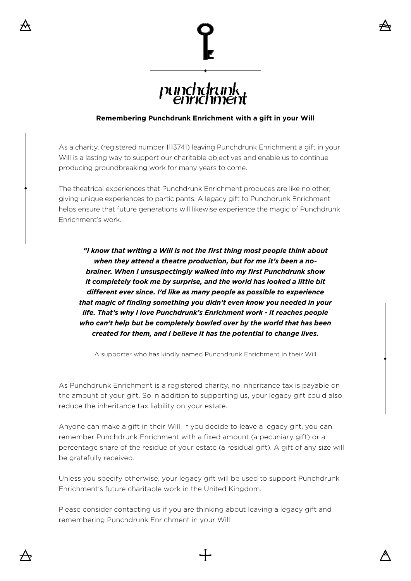

# punchetrunk,

## **Remembering Punchdrunk Enrichment with a gift in your Will**

As a charity, (registered number 1113741) leaving Punchdrunk Enrichment a gift in your Will is a lasting way to support our charitable objectives and enable us to continue producing groundbreaking work for many years to come.

The theatrical experiences that Punchdrunk Enrichment produces are like no other, giving unique experiences to participants. A legacy gift to Punchdrunk Enrichment helps ensure that future generations will likewise experience the magic of Punchdrunk Enrichment's work.

*"I know that writing a Will is not the first thing most people think about when they attend a theatre production, but for me it's been a nobrainer. When I unsuspectingly walked into my first Punchdrunk show it completely took me by surprise, and the world has looked a little bit different ever since. I'd like as many people as possible to experience that magic of finding something you didn't even know you needed in your life. That's why I love Punchdrunk's Enrichment work - it reaches people who can't help but be completely bowled over by the world that has been created for them, and I believe it has the potential to change lives.*

A supporter who has kindly named Punchdrunk Enrichment in their Will

As Punchdrunk Enrichment is a registered charity, no inheritance tax is payable on the amount of your gift. So in addition to supporting us, your legacy gift could also reduce the inheritance tax liability on your estate.

Anyone can make a gift in their Will. If you decide to leave a legacy gift, you can remember Punchdrunk Enrichment with a fixed amount (a pecuniary gift) or a percentage share of the residue of your estate (a residual gift). A gift of any size will be gratefully received.

Unless you specify otherwise, your legacy gift will be used to support Punchdrunk Enrichment's future charitable work in the United Kingdom.

Please consider contacting us if you are thinking about leaving a legacy gift and remembering Punchdrunk Enrichment in your Will.